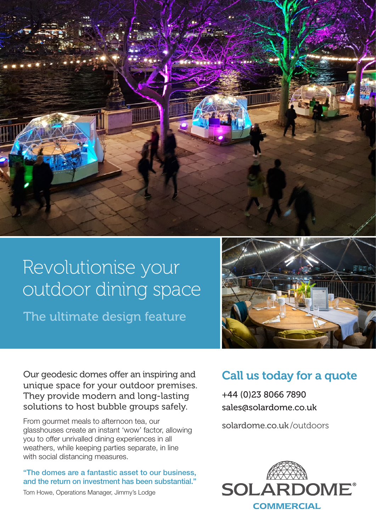

# Revolutionise your outdoor dining space

The ultimate design feature



Our geodesic domes offer an inspiring and unique space for your outdoor premises. They provide modern and long-lasting solutions to host bubble groups safely.

From gourmet meals to afternoon tea, our glasshouses create an instant 'wow' factor, allowing you to offer unrivalled dining experiences in all weathers, while keeping parties separate, in line with social distancing measures.

"The domes are a fantastic asset to our business, and the return on investment has been substantial."

## Call us today for a quote

+44 (0)23 8066 7890 sales@solardome.co.uk

solardome.co.uk /outdoors



Tom Howe, Operations Manager, Jimmy's Lodge